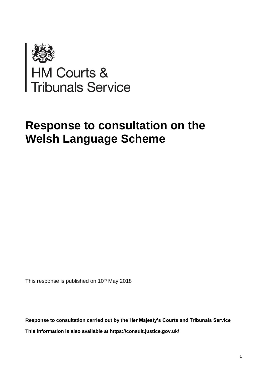

# **Response to consultation on the Welsh Language Scheme**

This response is published on 10<sup>th</sup> May 2018

**Response to consultation carried out by the Her Majesty's Courts and Tribunals Service This information is also available at <https://consult.justice.gov.uk/>**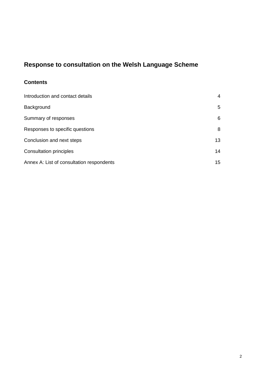## **Response to consultation on the Welsh Language Scheme**

## **Contents**

| Introduction and contact details          | 4  |
|-------------------------------------------|----|
| Background                                | 5  |
| Summary of responses                      | 6  |
| Responses to specific questions           | 8  |
| Conclusion and next steps                 | 13 |
| <b>Consultation principles</b>            | 14 |
| Annex A: List of consultation respondents | 15 |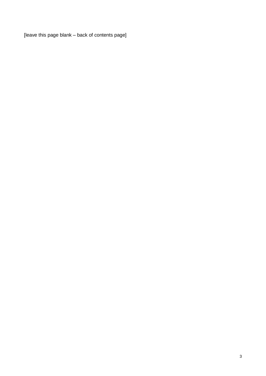[leave this page blank – back of contents page]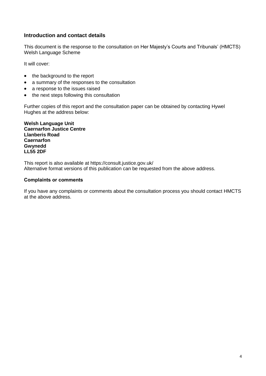#### **Introduction and contact details**

This document is the response to the consultation on Her Majesty's Courts and Tribunals' (HMCTS) Welsh Language Scheme

It will cover:

- the background to the report
- a summary of the responses to the consultation
- a response to the issues raised
- the next steps following this consultation

Further copies of this report and the consultation paper can be obtained by contacting Hywel Hughes at the address below:

**Welsh Language Unit Caernarfon Justice Centre Llanberis Road Caernarfon Gwynedd LL55 2DF**

This report is also available at <https://consult.justice.gov.uk/> Alternative format versions of this publication can be requested from the above address.

#### **Complaints or comments**

If you have any complaints or comments about the consultation process you should contact HMCTS at the above address.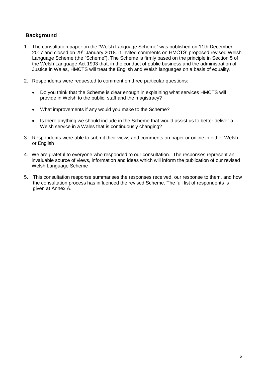#### **Background**

- 1. The consultation paper on the "Welsh Language Scheme" was published on 11th December 2017 and closed on 29<sup>th</sup> January 2018. It invited comments on HMCTS' proposed revised Welsh Language Scheme (the "Scheme"). The Scheme is firmly based on the principle in Section 5 of the Welsh Language Act 1993 that, in the conduct of public business and the administration of Justice in Wales, HMCTS will treat the English and Welsh languages on a basis of equality.
- 2. Respondents were requested to comment on three particular questions:
	- Do you think that the Scheme is clear enough in explaining what services HMCTS will provide in Welsh to the public, staff and the magistracy?
	- What improvements if any would you make to the Scheme?
	- Is there anything we should include in the Scheme that would assist us to better deliver a Welsh service in a Wales that is continuously changing?
- 3. Respondents were able to submit their views and comments on paper or online in either Welsh or English
- 4. We are grateful to everyone who responded to our consultation. The responses represent an invaluable source of views, information and ideas which will inform the publication of our revised Welsh Language Scheme
- 5. This consultation response summarises the responses received, our response to them, and how the consultation process has influenced the revised Scheme. The full list of respondents is given at [Annex A.](#page-14-0)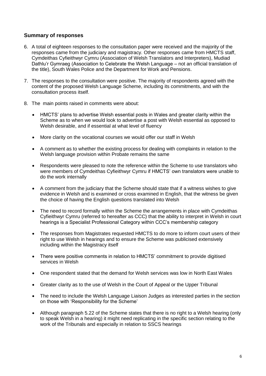#### **Summary of responses**

- 6. A total of eighteen responses to the consultation paper were received and the majority of the responses came from the judiciary and magistracy. Other responses came from HMCTS staff, Cymdeithas Cyfieithwyr Cymru (Association of Welsh Translators and Interpreters), Mudiad Dathlu'r Gymraeg (Association to Celebrate the Welsh Language – not an official translation of the title), South Wales Police and the Department for Work and Pensions.
- 7. The responses to the consultation were positive. The majority of respondents agreed with the content of the proposed Welsh Language Scheme, including its commitments, and with the consultation process itself.
- 8. The main points raised in comments were about:
	- HMCTS' plans to advertise Welsh essential posts in Wales and greater clarity within the Scheme as to when we would look to advertise a post with Welsh essential as opposed to Welsh desirable, and if essential at what level of fluency
	- More clarity on the vocational courses we would offer our staff in Welsh
	- A comment as to whether the existing process for dealing with complaints in relation to the Welsh language provision within Probate remains the same
	- Respondents were pleased to note the reference within the Scheme to use translators who were members of Cymdeithas Cyfieithwyr Cymru if HMCTS' own translators were unable to do the work internally
	- A comment from the judiciary that the Scheme should state that if a witness wishes to give evidence in Welsh and is examined or cross examined in English, that the witness be given the choice of having the English questions translated into Welsh
	- The need to record formally within the Scheme the arrangements in place with Cymdeithas Cyfieithwyr Cymru (referred to hereafter as CCC) that the ability to interpret in Welsh in court hearings is a Specialist Professional Category within CCC's membership category
	- The responses from Magistrates requested HMCTS to do more to inform court users of their right to use Welsh in hearings and to ensure the Scheme was publicised extensively including within the Magistracy itself
	- There were positive comments in relation to HMCTS' commitment to provide digitised services in Welsh
	- One respondent stated that the demand for Welsh services was low in North East Wales
	- Greater clarity as to the use of Welsh in the Court of Appeal or the Upper Tribunal
	- The need to include the Welsh Language Liaison Judges as interested parties in the section on those with 'Responsibility for the Scheme'
	- Although paragraph 5.22 of the Scheme states that there is no right to a Welsh hearing (only to speak Welsh in a hearing) it might need replicating in the specific section relating to the work of the Tribunals and especially in relation to SSCS hearings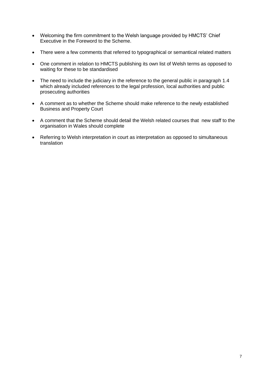- Welcoming the firm commitment to the Welsh language provided by HMCTS' Chief Executive in the Foreword to the Scheme.
- There were a few comments that referred to typographical or semantical related matters
- One comment in relation to HMCTS publishing its own list of Welsh terms as opposed to waiting for these to be standardised
- The need to include the judiciary in the reference to the general public in paragraph 1.4 which already included references to the legal profession, local authorities and public prosecuting authorities
- A comment as to whether the Scheme should make reference to the newly established Business and Property Court
- A comment that the Scheme should detail the Welsh related courses that new staff to the organisation in Wales should complete
- Referring to Welsh interpretation in court as interpretation as opposed to simultaneous translation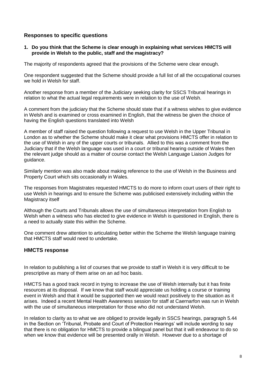#### **Responses to specific questions**

#### **1. Do you think that the Scheme is clear enough in explaining what services HMCTS will provide in Welsh to the public, staff and the magistracy?**

The majority of respondents agreed that the provisions of the Scheme were clear enough.

One respondent suggested that the Scheme should provide a full list of all the occupational courses we hold in Welsh for staff.

Another response from a member of the Judiciary seeking clarity for SSCS Tribunal hearings in relation to what the actual legal requirements were in relation to the use of Welsh.

A comment from the judiciary that the Scheme should state that if a witness wishes to give evidence in Welsh and is examined or cross examined in English, that the witness be given the choice of having the English questions translated into Welsh

A member of staff raised the question following a request to use Welsh in the Upper Tribunal in London as to whether the Scheme should make it clear what provisions HMCTS offer in relation to the use of Welsh in any of the upper courts or tribunals. Allied to this was a comment from the Judiciary that if the Welsh language was used in a court or tribunal hearing outside of Wales then the relevant judge should as a matter of course contact the Welsh Language Liaison Judges for guidance.

Similarly mention was also made about making reference to the use of Welsh in the Business and Property Court which sits occasionally in Wales.

The responses from Magistrates requested HMCTS to do more to inform court users of their right to use Welsh in hearings and to ensure the Scheme was publicised extensively including within the Magistracy itself

Although the Courts and Tribunals allows the use of simultaneous interpretation from English to Welsh when a witness who has elected to give evidence in Welsh is questioned in English, there is a need to actually state this within the Scheme.

One comment drew attention to articulating better within the Scheme the Welsh language training that HMCTS staff would need to undertake.

#### **HMCTS response**

In relation to publishing a list of courses that we provide to staff in Welsh it is very difficult to be prescriptive as many of them arise on an ad hoc basis.

HMCTS has a good track record in trying to increase the use of Welsh internally but it has finite resources at its disposal. If we know that staff would appreciate us holding a course or training event in Welsh and that it would be supported then we would react positively to the situation as it arises. Indeed a recent Mental Health Awareness session for staff at Caernarfon was run in Welsh with the use of simultaneous interpretation for those who did not understand Welsh.

In relation to clarity as to what we are obliged to provide legally in SSCS hearings, paragraph 5.44 in the Section on 'Tribunal, Probate and Court of Protection Hearings' will include wording to say that there is no obligation for HMCTS to provide a bilingual panel but that it will endeavour to do so when we know that evidence will be presented orally in Welsh. However due to a shortage of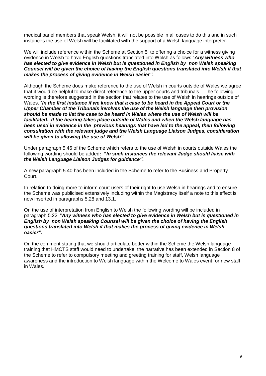medical panel members that speak Welsh, it will not be possible in all cases to do this and in such instances the use of Welsh will be facilitated with the support of a Welsh language interpreter.

We will include reference within the Scheme at Section 5 to offering a choice for a witness giving evidence in Welsh to have English questions translated into Welsh as follows "*Any witness who has elected to give evidence in Welsh but is questioned in English by non Welsh speaking Counsel will be given the choice of having the English questions translated into Welsh if that makes the process of giving evidence in Welsh easier".*

Although the Scheme does make reference to the use of Welsh in courts outside of Wales we agree that it would be helpful to make direct reference to the upper courts and tribunals. The following wording is therefore suggested in the section that relates to the use of Welsh in hearings outside of Wales. "*In the first instance if we know that a case to be heard in the Appeal Court or the Upper Chamber of the Tribunals involves the use of the Welsh language then provision should be made to list the case to be heard in Wales where the use of Welsh will be facilitated. If the hearing takes place outside of Wales and when the Welsh language has been used in evidence in the previous hearings that have led to the appeal, then following consultation with the relevant judge and the Welsh Language Liaison Judges, consideration will be given to allowing the use of Welsh".*

Under paragraph 5.46 of the Scheme which refers to the use of Welsh in courts outside Wales the following wording should be added**: "***In such instances the relevant Judge should liaise with the Welsh Language Liaison Judges for guidance".*

A new paragraph 5.40 has been included in the Scheme to refer to the Business and Property Court.

In relation to doing more to inform court users of their right to use Welsh in hearings and to ensure the Scheme was publicised extensively including within the Magistracy itself a note to this effect is now inserted in paragraphs 5.28 and 13.1.

On the use of interpretation from English to Welsh the following wording will be included in paragraph 5.22 "*Any witness who has elected to give evidence in Welsh but is questioned in English by non Welsh speaking Counsel will be given the choice of having the English questions translated into Welsh if that makes the process of giving evidence in Welsh easier".*

On the comment stating that we should articulate better within the Scheme the Welsh language training that HMCTS staff would need to undertake, the narrative has been extended in Section 8 of the Scheme to refer to compulsory meeting and greeting training for staff, Welsh language awareness and the introduction to Welsh language within the Welcome to Wales event for new staff in Wales.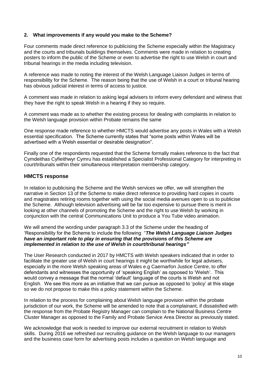#### **2. What improvements if any would you make to the Scheme?**

Four comments made direct reference to publicising the Scheme especially within the Magistracy and the courts and tribunals buildings themselves. Comments were made in relation to creating posters to inform the public of the Scheme or even to advertise the right to use Welsh in court and tribunal hearings in the media including television.

A reference was made to noting the interest of the Welsh Language Liaison Judges in terms of responsibility for the Scheme. The reason being that the use of Welsh in a court or tribunal hearing has obvious judicial interest in terms of access to justice.

A comment was made in relation to asking legal advisers to inform every defendant and witness that they have the right to speak Welsh in a hearing if they so require.

A comment was made as to whether the existing process for dealing with complaints in relation to the Welsh language provision within Probate remains the same

One response made reference to whether HMCTS would advertise any posts in Wales with a Welsh essential specification. The Scheme currently states that "some posts within Wales will be advertised with a Welsh essential or desirable designation".

Finally one of the respondents requested that the Scheme formally makes reference to the fact that Cymdeithas Cyfieithwyr Cymru has established a Specialist Professional Category for interpreting in court/tribunals within their simultaneous interpretation membership category.

#### **HMCTS response**

In relation to publicising the Scheme and the Welsh services we offer, we will strengthen the narrative in Section 13 of the Scheme to make direct reference to providing hard copies in courts and magistrates retiring rooms together with using the social media avenues open to us to publicise the Scheme. Although television advertising will be far too expensive to pursue there is merit in looking at other channels of promoting the Scheme and the right to use Welsh by working in conjunction with the central Communications Unit to produce a You Tube video animation.

We will amend the wording under paragraph 3.3 of the Scheme under the heading of 'Responsibility for the Scheme to include the following "*The Welsh Language Liaison Judges have an important role to play in ensuring that the provisions of this Scheme are implemented in relation to the use of Welsh in court/tribunal hearings"*

The User Research conducted in 2017 by HMCTS with Welsh speakers indicated that in order to facilitate the greater use of Welsh in court hearings it might be worthwhile for legal advisers, especially in the more Welsh speaking areas of Wales e.g Caernarfon Justice Centre, to offer defendants and witnesses the opportunity of 'speaking English' as opposed to 'Welsh'. This would convey a message that the normal 'default' language of the courts is Welsh and not English. We see this more as an initiative that we can pursue as opposed to 'policy' at this stage so we do not propose to make this a policy statement within the Scheme.

In relation to the process for complaining about Welsh language provision within the probate jurisdiction of our work, the Scheme will be amended to note that a complainant, if dissatisfied with the response from the Probate Registry Manager can complain to the National Business Centre Cluster Manager as opposed to the Family and Probate Service Area Director as previously stated.

We acknowledge that work is needed to improve our external recruitment in relation to Welsh skills. During 2016 we refreshed our recruiting guidance on the Welsh language to our managers and the business case form for advertising posts includes a question on Welsh language and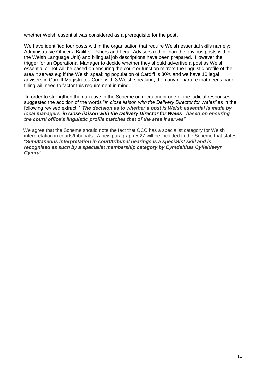whether Welsh essential was considered as a prerequisite for the post.

We have identified four posts within the organisation that require Welsh essential skills namely: Administrative Officers, Bailiffs, Ushers and Legal Advisors (other than the obvious posts within the Welsh Language Unit) and bilingual job descriptions have been prepared. However the trigger for an Operational Manager to decide whether they should advertise a post as Welsh essential or not will be based on ensuring the court or function mirrors the linguistic profile of the area it serves e.g if the Welsh speaking population of Cardiff is 30% and we have 10 legal advisers in Cardiff Magistrates Court with 3 Welsh speaking, then any departure that needs back filling will need to factor this requirement in mind.

In order to strengthen the narrative in the Scheme on recruitment one of the judicial responses suggested the addition of the words "*in close liaison with the Delivery Director for Wales"* as in the following revised extract: " *The decision as to whether a post is Welsh essential is made by local managers in close liaison with the Delivery Director for Wales based on ensuring the court/ office's linguistic profile matches that of the area it serves"*.

 We agree that the Scheme should note the fact that CCC has a specialist category for Welsh interpretation in courts/tribunals. A new paragraph 5.27 will be included in the Scheme that states "*Simultaneous interpretation in court/tribunal hearings is a specialist skill and is recognised as such by a specialist membership category by Cymdeithas Cyfieithwyr Cymru".*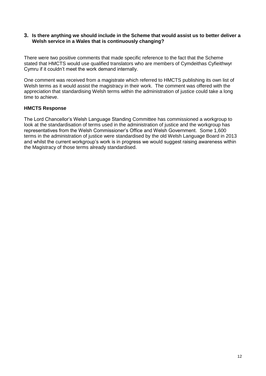#### **3. Is there anything we should include in the Scheme that would assist us to better deliver a Welsh service in a Wales that is continuously changing?**

There were two positive comments that made specific reference to the fact that the Scheme stated that HMCTS would use qualified translators who are members of Cymdeithas Cyfieithwyr Cymru if it couldn't meet the work demand internally.

One comment was received from a magistrate which referred to HMCTS publishing its own list of Welsh terms as it would assist the magistracy in their work. The comment was offered with the appreciation that standardising Welsh terms within the administration of justice could take a long time to achieve.

#### **HMCTS Response**

The Lord Chancellor's Welsh Language Standing Committee has commissioned a workgroup to look at the standardisation of terms used in the administration of justice and the workgroup has representatives from the Welsh Commissioner's Office and Welsh Government. Some 1,600 terms in the administration of justice were standardised by the old Welsh Language Board in 2013 and whilst the current workgroup's work is in progress we would suggest raising awareness within the Magistracy of those terms already standardised.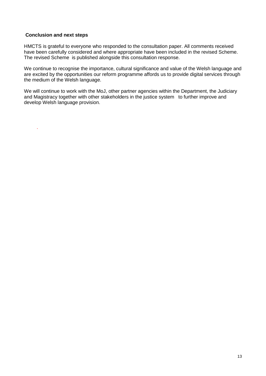#### **Conclusion and next steps**

.

HMCTS is grateful to everyone who responded to the consultation paper. All comments received have been carefully considered and where appropriate have been included in the revised Scheme. The revised Scheme is published alongside this consultation response.

We continue to recognise the importance, cultural significance and value of the Welsh language and are excited by the opportunities our reform programme affords us to provide digital services through the medium of the Welsh language.

We will continue to work with the MoJ, other partner agencies within the Department, the Judiciary and Magistracy together with other stakeholders in the justice system to further improve and develop Welsh language provision.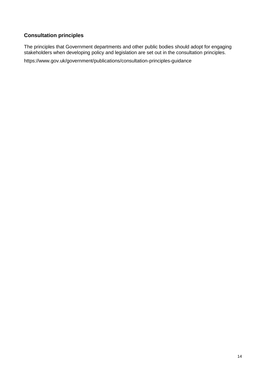## **Consultation principles**

The principles that Government departments and other public bodies should adopt for engaging stakeholders when developing policy and legislation are set out in the consultation principles.

<https://www.gov.uk/government/publications/consultation-principles-guidance>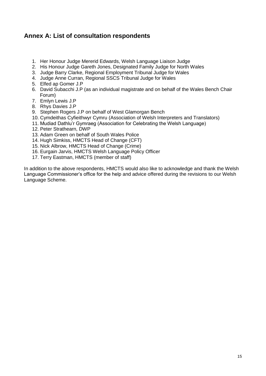## <span id="page-14-0"></span>**Annex A: List of consultation respondents**

- 1. Her Honour Judge Mererid Edwards, Welsh Language Liaison Judge
- 2. His Honour Judge Gareth Jones, Designated Family Judge for North Wales
- 3. Judge Barry Clarke, Regional Employment Tribunal Judge for Wales
- 4. Judge Anne Curran, Regional SSCS Tribunal Judge for Wales
- 5. Elfed ap Gomer J.P
- 6. David Subacchi J.P (as an individual magistrate and on behalf of the Wales Bench Chair Forum)
- 7. Emlyn Lewis J.P
- 8. Rhys Davies J.P
- 9. Stephen Rogers J.P on behalf of West Glamorgan Bench
- 10. Cymdeithas Cyfieithwyr Cymru (Association of Welsh Interpreters and Translators)
- 11. Mudiad Dathlu'r Gymraeg (Association for Celebrating the Welsh Language)
- 12. Peter Strathearn, DWP
- 13. Adam Green on behalf of South Wales Police
- 14. Hugh Simkiss, HMCTS Head of Change (CFT)
- 15. Nick Albrow, HMCTS Head of Change (Crime)
- 16. Eurgain Jarvis, HMCTS Welsh Language Policy Officer
- 17. Terry Eastman, HMCTS (member of staff)

In addition to the above respondents, HMCTS would also like to acknowledge and thank the Welsh Language Commissioner's office for the help and advice offered during the revisions to our Welsh Language Scheme.